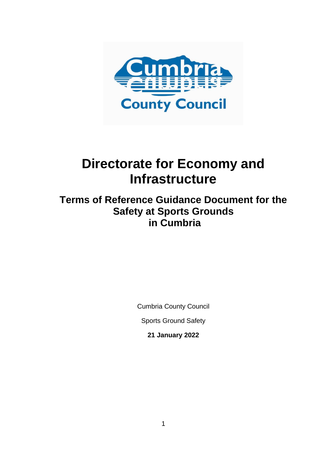

# **Directorate for Economy and Infrastructure**

**Terms of Reference Guidance Document for the Safety at Sports Grounds in Cumbria**

Cumbria County Council

Sports Ground Safety

**21 January 2022**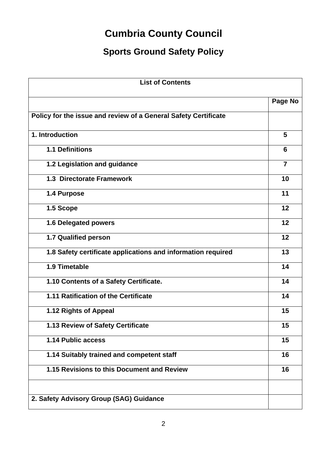# **Cumbria County Council**

# **Sports Ground Safety Policy**

| <b>List of Contents</b>                                         |                |
|-----------------------------------------------------------------|----------------|
|                                                                 | Page No        |
| Policy for the issue and review of a General Safety Certificate |                |
| 1. Introduction                                                 | 5              |
| <b>1.1 Definitions</b>                                          | 6              |
| 1.2 Legislation and guidance                                    | $\overline{7}$ |
| 1.3 Directorate Framework                                       | 10             |
| 1.4 Purpose                                                     | 11             |
| 1.5 Scope                                                       | 12             |
| 1.6 Delegated powers                                            | 12             |
| 1.7 Qualified person                                            | 12             |
| 1.8 Safety certificate applications and information required    | 13             |
| 1.9 Timetable                                                   | 14             |
| 1.10 Contents of a Safety Certificate.                          | 14             |
| 1.11 Ratification of the Certificate                            | 14             |
| 1.12 Rights of Appeal                                           | 15             |
| 1.13 Review of Safety Certificate                               | 15             |
| 1.14 Public access                                              | 15             |
| 1.14 Suitably trained and competent staff                       | 16             |
| 1.15 Revisions to this Document and Review                      | 16             |
|                                                                 |                |
| 2. Safety Advisory Group (SAG) Guidance                         |                |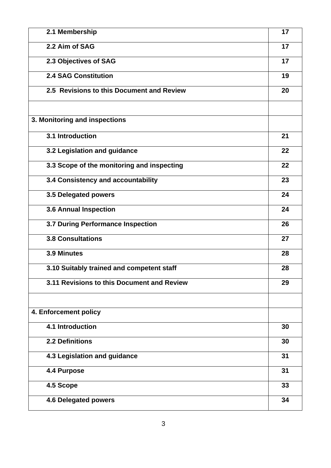| 2.1 Membership                             | 17 |
|--------------------------------------------|----|
| 2.2 Aim of SAG                             | 17 |
| 2.3 Objectives of SAG                      | 17 |
| <b>2.4 SAG Constitution</b>                | 19 |
| 2.5 Revisions to this Document and Review  | 20 |
| 3. Monitoring and inspections              |    |
| 3.1 Introduction                           | 21 |
| 3.2 Legislation and guidance               | 22 |
| 3.3 Scope of the monitoring and inspecting | 22 |
| 3.4 Consistency and accountability         | 23 |
| 3.5 Delegated powers                       | 24 |
| <b>3.6 Annual Inspection</b>               | 24 |
| 3.7 During Performance Inspection          | 26 |
| <b>3.8 Consultations</b>                   | 27 |
| 3.9 Minutes                                | 28 |
| 3.10 Suitably trained and competent staff  | 28 |
| 3.11 Revisions to this Document and Review | 29 |
| 4. Enforcement policy                      |    |
| 4.1 Introduction                           | 30 |
| <b>2.2 Definitions</b>                     | 30 |
| 4.3 Legislation and guidance               | 31 |
| 4.4 Purpose                                | 31 |
| 4.5 Scope                                  | 33 |
| <b>4.6 Delegated powers</b>                | 34 |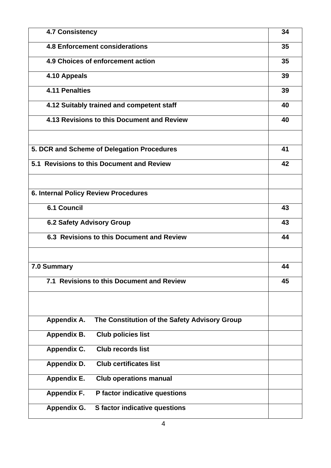| <b>4.7 Consistency</b>                                       |    |  |  |  |
|--------------------------------------------------------------|----|--|--|--|
| <b>4.8 Enforcement considerations</b>                        |    |  |  |  |
| 4.9 Choices of enforcement action                            |    |  |  |  |
| 4.10 Appeals                                                 |    |  |  |  |
| <b>4.11 Penalties</b>                                        | 39 |  |  |  |
| 4.12 Suitably trained and competent staff                    |    |  |  |  |
| 4.13 Revisions to this Document and Review                   | 40 |  |  |  |
|                                                              |    |  |  |  |
| 5. DCR and Scheme of Delegation Procedures                   | 41 |  |  |  |
| 5.1 Revisions to this Document and Review                    | 42 |  |  |  |
|                                                              |    |  |  |  |
| 6. Internal Policy Review Procedures                         |    |  |  |  |
| <b>6.1 Council</b>                                           | 43 |  |  |  |
| 6.2 Safety Advisory Group                                    |    |  |  |  |
| 6.3 Revisions to this Document and Review                    |    |  |  |  |
| 7.0 Summary                                                  | 44 |  |  |  |
| 7.1 Revisions to this Document and Review                    | 45 |  |  |  |
|                                                              |    |  |  |  |
|                                                              |    |  |  |  |
| Appendix A.<br>The Constitution of the Safety Advisory Group |    |  |  |  |
| <b>Club policies list</b><br>Appendix B.                     |    |  |  |  |
| <b>Appendix C.</b><br><b>Club records list</b>               |    |  |  |  |
| <b>Club certificates list</b><br><b>Appendix D.</b>          |    |  |  |  |
| <b>Appendix E.</b><br><b>Club operations manual</b>          |    |  |  |  |
| <b>Appendix F.</b><br>P factor indicative questions          |    |  |  |  |
| <b>S</b> factor indicative questions<br><b>Appendix G.</b>   |    |  |  |  |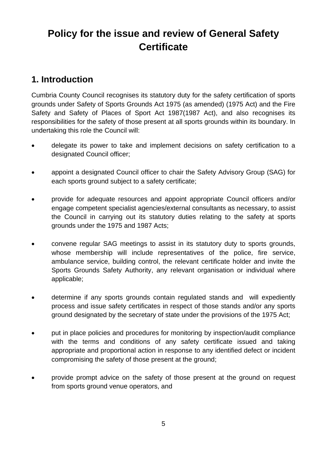# **Policy for the issue and review of General Safety Certificate**

# **1. Introduction**

Cumbria County Council recognises its statutory duty for the safety certification of sports grounds under Safety of Sports Grounds Act 1975 (as amended) (1975 Act) and the Fire Safety and Safety of Places of Sport Act 1987(1987 Act), and also recognises its responsibilities for the safety of those present at all sports grounds within its boundary. In undertaking this role the Council will:

- delegate its power to take and implement decisions on safety certification to a designated Council officer;
- appoint a designated Council officer to chair the Safety Advisory Group (SAG) for each sports ground subject to a safety certificate;
- provide for adequate resources and appoint appropriate Council officers and/or engage competent specialist agencies/external consultants as necessary, to assist the Council in carrying out its statutory duties relating to the safety at sports grounds under the 1975 and 1987 Acts;
- convene regular SAG meetings to assist in its statutory duty to sports grounds, whose membership will include representatives of the police, fire service, ambulance service, building control, the relevant certificate holder and invite the Sports Grounds Safety Authority, any relevant organisation or individual where applicable;
- determine if any sports grounds contain regulated stands and will expediently process and issue safety certificates in respect of those stands and/or any sports ground designated by the secretary of state under the provisions of the 1975 Act;
- put in place policies and procedures for monitoring by inspection/audit compliance with the terms and conditions of any safety certificate issued and taking appropriate and proportional action in response to any identified defect or incident compromising the safety of those present at the ground;
- provide prompt advice on the safety of those present at the ground on request from sports ground venue operators, and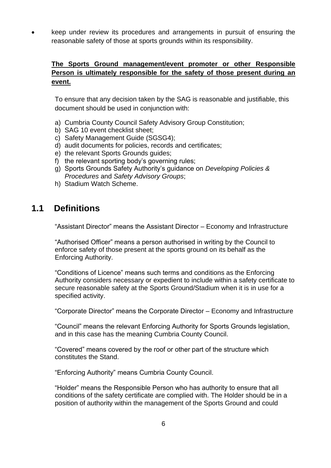• keep under review its procedures and arrangements in pursuit of ensuring the reasonable safety of those at sports grounds within its responsibility.

#### **The Sports Ground management/event promoter or other Responsible Person is ultimately responsible for the safety of those present during an event.**

To ensure that any decision taken by the SAG is reasonable and justifiable, this document should be used in conjunction with:

- a) Cumbria County Council Safety Advisory Group Constitution;
- b) SAG 10 event checklist sheet;
- c) Safety Management Guide (SGSG4);
- d) audit documents for policies, records and certificates;
- e) the relevant Sports Grounds guides;
- f) the relevant sporting body's governing rules;
- g) Sports Grounds Safety Authority's guidance on *Developing Policies & Procedures* and *Safety Advisory Groups*;
- h) Stadium Watch Scheme.

# **1.1 Definitions**

"Assistant Director" means the Assistant Director – Economy and Infrastructure

"Authorised Officer" means a person authorised in writing by the Council to enforce safety of those present at the sports ground on its behalf as the Enforcing Authority.

"Conditions of Licence" means such terms and conditions as the Enforcing Authority considers necessary or expedient to include within a safety certificate to secure reasonable safety at the Sports Ground/Stadium when it is in use for a specified activity.

"Corporate Director" means the Corporate Director – Economy and Infrastructure

"Council" means the relevant Enforcing Authority for Sports Grounds legislation, and in this case has the meaning Cumbria County Council.

"Covered" means covered by the roof or other part of the structure which constitutes the Stand.

"Enforcing Authority" means Cumbria County Council.

"Holder" means the Responsible Person who has authority to ensure that all conditions of the safety certificate are complied with. The Holder should be in a position of authority within the management of the Sports Ground and could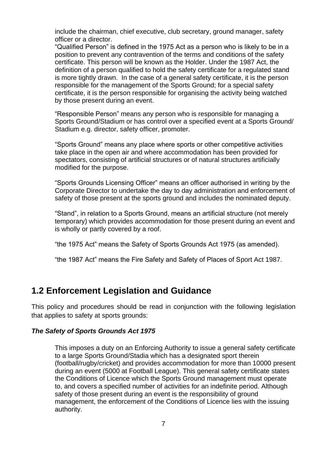include the chairman, chief executive, club secretary, ground manager, safety officer or a director.

"Qualified Person" is defined in the 1975 Act as a person who is likely to be in a position to prevent any contravention of the terms and conditions of the safety certificate. This person will be known as the Holder. Under the 1987 Act, the definition of a person qualified to hold the safety certificate for a regulated stand is more tightly drawn. In the case of a general safety certificate, it is the person responsible for the management of the Sports Ground; for a special safety certificate, it is the person responsible for organising the activity being watched by those present during an event.

"Responsible Person" means any person who is responsible for managing a Sports Ground/Stadium or has control over a specified event at a Sports Ground/ Stadium e.g. director, safety officer, promoter.

"Sports Ground" means any place where sports or other competitive activities take place in the open air and where accommodation has been provided for spectators, consisting of artificial structures or of natural structures artificially modified for the purpose.

"Sports Grounds Licensing Officer" means an officer authorised in writing by the Corporate Director to undertake the day to day administration and enforcement of safety of those present at the sports ground and includes the nominated deputy.

"Stand", in relation to a Sports Ground, means an artificial structure (not merely temporary) which provides accommodation for those present during an event and is wholly or partly covered by a roof.

"the 1975 Act" means the Safety of Sports Grounds Act 1975 (as amended).

"the 1987 Act" means the Fire Safety and Safety of Places of Sport Act 1987.

### **1.2 Enforcement Legislation and Guidance**

This policy and procedures should be read in conjunction with the following legislation that applies to safety at sports grounds:

#### *The Safety of Sports Grounds Act 1975*

This imposes a duty on an Enforcing Authority to issue a general safety certificate to a large Sports Ground/Stadia which has a designated sport therein (football/rugby/cricket) and provides accommodation for more than 10000 present during an event (5000 at Football League). This general safety certificate states the Conditions of Licence which the Sports Ground management must operate to, and covers a specified number of activities for an indefinite period. Although safety of those present during an event is the responsibility of ground management, the enforcement of the Conditions of Licence lies with the issuing authority.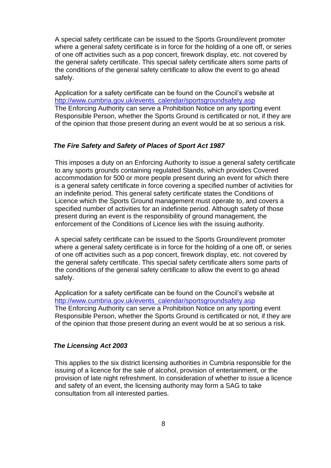A special safety certificate can be issued to the Sports Ground/event promoter where a general safety certificate is in force for the holding of a one off, or series of one off activities such as a pop concert, firework display, etc. not covered by the general safety certificate. This special safety certificate alters some parts of the conditions of the general safety certificate to allow the event to go ahead safely.

Application for a safety certificate can be found on the Council's website at [http://www.cumbria.gov.uk/events\\_calendar/sportsgroundsafety.asp](http://www.cumbria.gov.uk/events_calendar/sportsgroundsafety.asp) The Enforcing Authority can serve a Prohibition Notice on any sporting event Responsible Person, whether the Sports Ground is certificated or not, if they are of the opinion that those present during an event would be at so serious a risk.

#### *The Fire Safety and Safety of Places of Sport Act 1987*

This imposes a duty on an Enforcing Authority to issue a general safety certificate to any sports grounds containing regulated Stands, which provides Covered accommodation for 500 or more people present during an event for which there is a general safety certificate in force covering a specified number of activities for an indefinite period. This general safety certificate states the Conditions of Licence which the Sports Ground management must operate to, and covers a specified number of activities for an indefinite period. Although safety of those present during an event is the responsibility of ground management, the enforcement of the Conditions of Licence lies with the issuing authority.

A special safety certificate can be issued to the Sports Ground/event promoter where a general safety certificate is in force for the holding of a one off, or series of one off activities such as a pop concert, firework display, etc. not covered by the general safety certificate. This special safety certificate alters some parts of the conditions of the general safety certificate to allow the event to go ahead safely.

Application for a safety certificate can be found on the Council's website at [http://www.cumbria.gov.uk/events\\_calendar/sportsgroundsafety.asp](http://www.cumbria.gov.uk/events_calendar/sportsgroundsafety.asp) The Enforcing Authority can serve a Prohibition Notice on any sporting event Responsible Person, whether the Sports Ground is certificated or not, if they are of the opinion that those present during an event would be at so serious a risk.

#### *The Licensing Act 2003*

This applies to the six district licensing authorities in Cumbria responsible for the issuing of a licence for the sale of alcohol, provision of entertainment, or the provision of late night refreshment. In consideration of whether to issue a licence and safety of an event, the licensing authority may form a SAG to take consultation from all interested parties.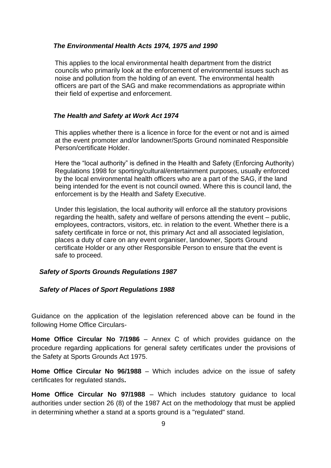#### *The Environmental Health Acts 1974, 1975 and 1990*

This applies to the local environmental health department from the district councils who primarily look at the enforcement of environmental issues such as noise and pollution from the holding of an event. The environmental health officers are part of the SAG and make recommendations as appropriate within their field of expertise and enforcement.

#### *The Health and Safety at Work Act 1974*

This applies whether there is a licence in force for the event or not and is aimed at the event promoter and/or landowner/Sports Ground nominated Responsible Person/certificate Holder.

Here the "local authority" is defined in the Health and Safety (Enforcing Authority) Regulations 1998 for sporting/cultural/entertainment purposes, usually enforced by the local environmental health officers who are a part of the SAG, if the land being intended for the event is not council owned. Where this is council land, the enforcement is by the Health and Safety Executive.

Under this legislation, the local authority will enforce all the statutory provisions regarding the health, safety and welfare of persons attending the event – public, employees, contractors, visitors, etc. in relation to the event. Whether there is a safety certificate in force or not, this primary Act and all associated legislation, places a duty of care on any event organiser, landowner, Sports Ground certificate Holder or any other Responsible Person to ensure that the event is safe to proceed.

#### *Safety of Sports Grounds Regulations 1987*

#### *Safety of Places of Sport Regulations 1988*

Guidance on the application of the legislation referenced above can be found in the following Home Office Circulars-

**Home Office Circular No 7/1986** – Annex C of which provides guidance on the procedure regarding applications for general safety certificates under the provisions of the Safety at Sports Grounds Act 1975.

**Home Office Circular No 96/1988** – Which includes advice on the issue of safety certificates for regulated stands**.** 

**Home Office Circular No 97/1988** – Which includes statutory guidance to local authorities under section 26 (8) of the 1987 Act on the methodology that must be applied in determining whether a stand at a sports ground is a "regulated" stand.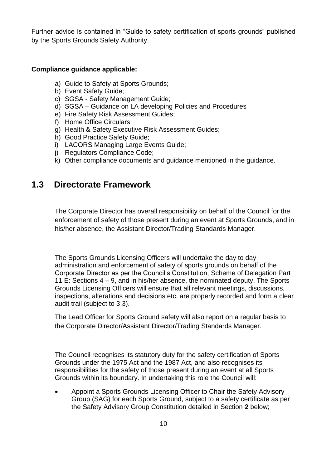Further advice is contained in "Guide to safety certification of sports grounds" published by the Sports Grounds Safety Authority.

#### **Compliance guidance applicable:**

- a) Guide to Safety at Sports Grounds;
- b) Event Safety Guide;
- c) SGSA Safety Management Guide;
- d) SGSA Guidance on LA developing Policies and Procedures
- e) Fire Safety Risk Assessment Guides;
- f) Home Office Circulars;
- g) Health & Safety Executive Risk Assessment Guides;
- h) Good Practice Safety Guide;
- i) LACORS Managing Large Events Guide;
- j) Regulators Compliance Code;
- k) Other compliance documents and guidance mentioned in the guidance.

# **1.3 Directorate Framework**

The Corporate Director has overall responsibility on behalf of the Council for the enforcement of safety of those present during an event at Sports Grounds, and in his/her absence, the Assistant Director/Trading Standards Manager.

The Sports Grounds Licensing Officers will undertake the day to day administration and enforcement of safety of sports grounds on behalf of the Corporate Director as per the Council's Constitution, Scheme of Delegation Part 11 E: Sections 4 – 9, and in his/her absence, the nominated deputy. The Sports Grounds Licensing Officers will ensure that all relevant meetings, discussions, inspections, alterations and decisions etc. are properly recorded and form a clear audit trail (subject to 3.3).

The Lead Officer for Sports Ground safety will also report on a regular basis to the Corporate Director/Assistant Director/Trading Standards Manager.

The Council recognises its statutory duty for the safety certification of Sports Grounds under the 1975 Act and the 1987 Act, and also recognises its responsibilities for the safety of those present during an event at all Sports Grounds within its boundary. In undertaking this role the Council will:

• Appoint a Sports Grounds Licensing Officer to Chair the Safety Advisory Group (SAG) for each Sports Ground, subject to a safety certificate as per the Safety Advisory Group Constitution detailed in Section **2** below;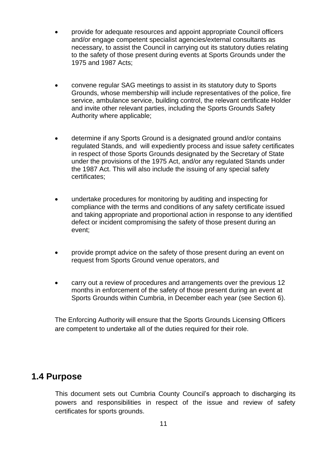- provide for adequate resources and appoint appropriate Council officers and/or engage competent specialist agencies/external consultants as necessary, to assist the Council in carrying out its statutory duties relating to the safety of those present during events at Sports Grounds under the 1975 and 1987 Acts;
- convene regular SAG meetings to assist in its statutory duty to Sports Grounds, whose membership will include representatives of the police, fire service, ambulance service, building control, the relevant certificate Holder and invite other relevant parties, including the Sports Grounds Safety Authority where applicable;
- determine if any Sports Ground is a designated ground and/or contains regulated Stands, and will expediently process and issue safety certificates in respect of those Sports Grounds designated by the Secretary of State under the provisions of the 1975 Act, and/or any regulated Stands under the 1987 Act. This will also include the issuing of any special safety certificates;
- undertake procedures for monitoring by auditing and inspecting for compliance with the terms and conditions of any safety certificate issued and taking appropriate and proportional action in response to any identified defect or incident compromising the safety of those present during an event;
- provide prompt advice on the safety of those present during an event on request from Sports Ground venue operators, and
- carry out a review of procedures and arrangements over the previous 12 months in enforcement of the safety of those present during an event at Sports Grounds within Cumbria, in December each year (see Section 6).

The Enforcing Authority will ensure that the Sports Grounds Licensing Officers are competent to undertake all of the duties required for their role.

#### **1.4 Purpose**

This document sets out Cumbria County Council's approach to discharging its powers and responsibilities in respect of the issue and review of safety certificates for sports grounds.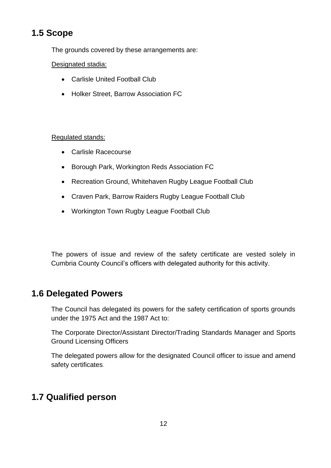# **1.5 Scope**

The grounds covered by these arrangements are:

#### Designated stadia:

- Carlisle United Football Club
- Holker Street, Barrow Association FC

#### Regulated stands:

- Carlisle Racecourse
- Borough Park, Workington Reds Association FC
- Recreation Ground, Whitehaven Rugby League Football Club
- Craven Park, Barrow Raiders Rugby League Football Club
- Workington Town Rugby League Football Club

The powers of issue and review of the safety certificate are vested solely in Cumbria County Council's officers with delegated authority for this activity.

## **1.6 Delegated Powers**

The Council has delegated its powers for the safety certification of sports grounds under the 1975 Act and the 1987 Act to:

The Corporate Director/Assistant Director/Trading Standards Manager and Sports Ground Licensing Officers

The delegated powers allow for the designated Council officer to issue and amend safety certificates.

# **1.7 Qualified person**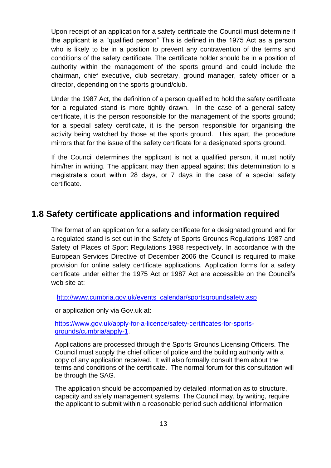Upon receipt of an application for a safety certificate the Council must determine if the applicant is a "qualified person" This is defined in the 1975 Act as a person who is likely to be in a position to prevent any contravention of the terms and conditions of the safety certificate. The certificate holder should be in a position of authority within the management of the sports ground and could include the chairman, chief executive, club secretary, ground manager, safety officer or a director, depending on the sports ground/club.

Under the 1987 Act, the definition of a person qualified to hold the safety certificate for a regulated stand is more tightly drawn. In the case of a general safety certificate, it is the person responsible for the management of the sports ground; for a special safety certificate, it is the person responsible for organising the activity being watched by those at the sports ground. This apart, the procedure mirrors that for the issue of the safety certificate for a designated sports ground.

If the Council determines the applicant is not a qualified person, it must notify him/her in writing. The applicant may then appeal against this determination to a magistrate's court within 28 days, or 7 days in the case of a special safety certificate.

## **1.8 Safety certificate applications and information required**

The format of an application for a safety certificate for a designated ground and for a regulated stand is set out in the Safety of Sports Grounds Regulations 1987 and Safety of Places of Sport Regulations 1988 respectively. In accordance with the European Services Directive of December 2006 the Council is required to make provision for online safety certificate applications. Application forms for a safety certificate under either the 1975 Act or 1987 Act are accessible on the Council's web site at:

http://www.cumbria.gov.uk/events\_calendar/sportsgroundsafety.asp

or application only via Gov.uk at:

[https://www.gov.uk/apply-for-a-licence/safety-certificates-for-sports](https://www.gov.uk/apply-for-a-licence/safety-certificates-for-sports-grounds/cumbria/apply-1)[grounds/cumbria/apply-1.](https://www.gov.uk/apply-for-a-licence/safety-certificates-for-sports-grounds/cumbria/apply-1)

Applications are processed through the Sports Grounds Licensing Officers. The Council must supply the chief officer of police and the building authority with a copy of any application received. It will also formally consult them about the terms and conditions of the certificate. The normal forum for this consultation will be through the SAG.

The application should be accompanied by detailed information as to structure, capacity and safety management systems. The Council may, by writing, require the applicant to submit within a reasonable period such additional information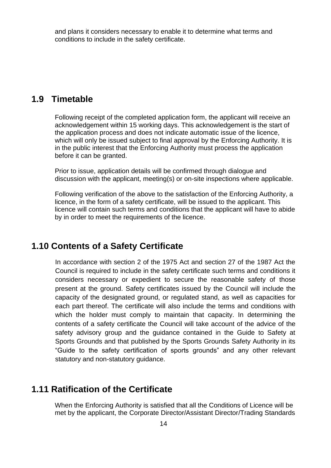and plans it considers necessary to enable it to determine what terms and conditions to include in the safety certificate.

#### **1.9 Timetable**

Following receipt of the completed application form, the applicant will receive an acknowledgement within 15 working days. This acknowledgement is the start of the application process and does not indicate automatic issue of the licence, which will only be issued subject to final approval by the Enforcing Authority. It is in the public interest that the Enforcing Authority must process the application before it can be granted.

Prior to issue, application details will be confirmed through dialogue and discussion with the applicant, meeting(s) or on-site inspections where applicable.

Following verification of the above to the satisfaction of the Enforcing Authority, a licence, in the form of a safety certificate, will be issued to the applicant. This licence will contain such terms and conditions that the applicant will have to abide by in order to meet the requirements of the licence.

### **1.10 Contents of a Safety Certificate**

In accordance with section 2 of the 1975 Act and section 27 of the 1987 Act the Council is required to include in the safety certificate such terms and conditions it considers necessary or expedient to secure the reasonable safety of those present at the ground. Safety certificates issued by the Council will include the capacity of the designated ground, or regulated stand, as well as capacities for each part thereof. The certificate will also include the terms and conditions with which the holder must comply to maintain that capacity. In determining the contents of a safety certificate the Council will take account of the advice of the safety advisory group and the guidance contained in the Guide to Safety at Sports Grounds and that published by the Sports Grounds Safety Authority in its "Guide to the safety certification of sports grounds" and any other relevant statutory and non-statutory guidance.

#### **1.11 Ratification of the Certificate**

When the Enforcing Authority is satisfied that all the Conditions of Licence will be met by the applicant, the Corporate Director/Assistant Director/Trading Standards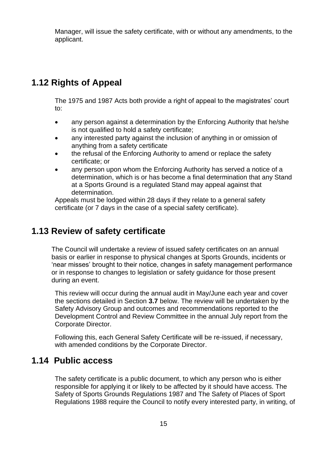Manager, will issue the safety certificate, with or without any amendments, to the applicant.

## **1.12 Rights of Appeal**

The 1975 and 1987 Acts both provide a right of appeal to the magistrates' court to:

- any person against a determination by the Enforcing Authority that he/she is not qualified to hold a safety certificate;
- any interested party against the inclusion of anything in or omission of anything from a safety certificate
- the refusal of the Enforcing Authority to amend or replace the safety certificate; or
- any person upon whom the Enforcing Authority has served a notice of a determination, which is or has become a final determination that any Stand at a Sports Ground is a regulated Stand may appeal against that determination.

Appeals must be lodged within 28 days if they relate to a general safety certificate (or 7 days in the case of a special safety certificate).

## **1.13 Review of safety certificate**

The Council will undertake a review of issued safety certificates on an annual basis or earlier in response to physical changes at Sports Grounds, incidents or 'near misses' brought to their notice, changes in safety management performance or in response to changes to legislation or safety guidance for those present during an event.

This review will occur during the annual audit in May/June each year and cover the sections detailed in Section **3.7** below. The review will be undertaken by the Safety Advisory Group and outcomes and recommendations reported to the Development Control and Review Committee in the annual July report from the Corporate Director.

Following this, each General Safety Certificate will be re-issued, if necessary, with amended conditions by the Corporate Director.

### **1.14 Public access**

The safety certificate is a public document, to which any person who is either responsible for applying it or likely to be affected by it should have access. The Safety of Sports Grounds Regulations 1987 and The Safety of Places of Sport Regulations 1988 require the Council to notify every interested party, in writing, of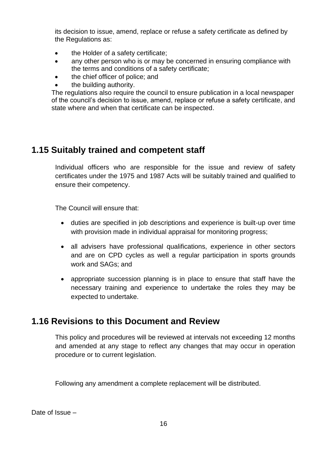its decision to issue, amend, replace or refuse a safety certificate as defined by the Regulations as:

- the Holder of a safety certificate;
- any other person who is or may be concerned in ensuring compliance with the terms and conditions of a safety certificate;
- the chief officer of police; and
- the building authority.

The regulations also require the council to ensure publication in a local newspaper of the council's decision to issue, amend, replace or refuse a safety certificate, and state where and when that certificate can be inspected.

# **1.15 Suitably trained and competent staff**

Individual officers who are responsible for the issue and review of safety certificates under the 1975 and 1987 Acts will be suitably trained and qualified to ensure their competency.

The Council will ensure that:

- duties are specified in job descriptions and experience is built-up over time with provision made in individual appraisal for monitoring progress;
- all advisers have professional qualifications, experience in other sectors and are on CPD cycles as well a regular participation in sports grounds work and SAGs; and
- appropriate succession planning is in place to ensure that staff have the necessary training and experience to undertake the roles they may be expected to undertake.

## **1.16 Revisions to this Document and Review**

This policy and procedures will be reviewed at intervals not exceeding 12 months and amended at any stage to reflect any changes that may occur in operation procedure or to current legislation.

Following any amendment a complete replacement will be distributed.

Date of Issue –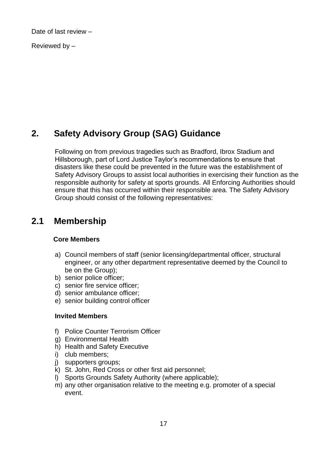Date of last review –

Reviewed by –

# **2. Safety Advisory Group (SAG) Guidance**

Following on from previous tragedies such as Bradford, Ibrox Stadium and Hillsborough, part of Lord Justice Taylor's recommendations to ensure that disasters like these could be prevented in the future was the establishment of Safety Advisory Groups to assist local authorities in exercising their function as the responsible authority for safety at sports grounds. All Enforcing Authorities should ensure that this has occurred within their responsible area. The Safety Advisory Group should consist of the following representatives:

# **2.1 Membership**

#### **Core Members**

- a) Council members of staff (senior licensing/departmental officer, structural engineer, or any other department representative deemed by the Council to be on the Group);
- b) senior police officer;
- c) senior fire service officer;
- d) senior ambulance officer;
- e) senior building control officer

#### **Invited Members**

- f) Police Counter Terrorism Officer
- g) Environmental Health
- h) Health and Safety Executive
- i) club members;
- j) supporters groups;
- k) St. John, Red Cross or other first aid personnel;
- l) Sports Grounds Safety Authority (where applicable);
- m) any other organisation relative to the meeting e.g. promoter of a special event.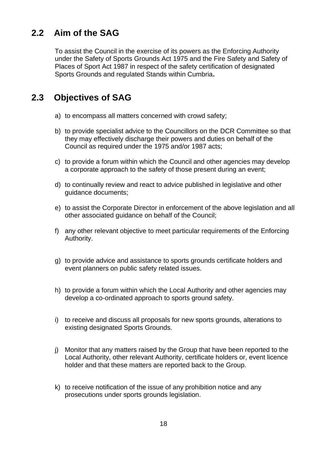# **2.2 Aim of the SAG**

To assist the Council in the exercise of its powers as the Enforcing Authority under the Safety of Sports Grounds Act 1975 and the Fire Safety and Safety of Places of Sport Act 1987 in respect of the safety certification of designated Sports Grounds and regulated Stands within Cumbria**.**

# **2.3 Objectives of SAG**

- a) to encompass all matters concerned with crowd safety;
- b) to provide specialist advice to the Councillors on the DCR Committee so that they may effectively discharge their powers and duties on behalf of the Council as required under the 1975 and/or 1987 acts;
- c) to provide a forum within which the Council and other agencies may develop a corporate approach to the safety of those present during an event;
- d) to continually review and react to advice published in legislative and other guidance documents;
- e) to assist the Corporate Director in enforcement of the above legislation and all other associated guidance on behalf of the Council;
- f) any other relevant objective to meet particular requirements of the Enforcing Authority.
- g) to provide advice and assistance to sports grounds certificate holders and event planners on public safety related issues.
- h) to provide a forum within which the Local Authority and other agencies may develop a co-ordinated approach to sports ground safety.
- i) to receive and discuss all proposals for new sports grounds, alterations to existing designated Sports Grounds.
- j) Monitor that any matters raised by the Group that have been reported to the Local Authority, other relevant Authority, certificate holders or, event licence holder and that these matters are reported back to the Group.
- k) to receive notification of the issue of any prohibition notice and any prosecutions under sports grounds legislation.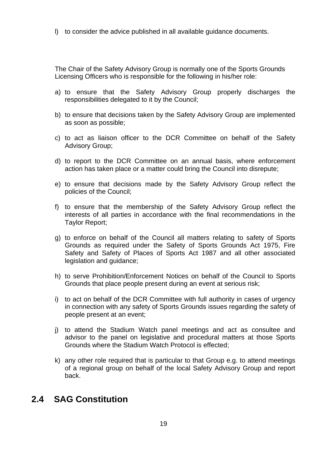l) to consider the advice published in all available guidance documents.

The Chair of the Safety Advisory Group is normally one of the Sports Grounds Licensing Officers who is responsible for the following in his/her role:

- a) to ensure that the Safety Advisory Group properly discharges the responsibilities delegated to it by the Council;
- b) to ensure that decisions taken by the Safety Advisory Group are implemented as soon as possible;
- c) to act as liaison officer to the DCR Committee on behalf of the Safety Advisory Group;
- d) to report to the DCR Committee on an annual basis, where enforcement action has taken place or a matter could bring the Council into disrepute;
- e) to ensure that decisions made by the Safety Advisory Group reflect the policies of the Council;
- f) to ensure that the membership of the Safety Advisory Group reflect the interests of all parties in accordance with the final recommendations in the Taylor Report;
- g) to enforce on behalf of the Council all matters relating to safety of Sports Grounds as required under the Safety of Sports Grounds Act 1975, Fire Safety and Safety of Places of Sports Act 1987 and all other associated legislation and guidance;
- h) to serve Prohibition/Enforcement Notices on behalf of the Council to Sports Grounds that place people present during an event at serious risk;
- i) to act on behalf of the DCR Committee with full authority in cases of urgency in connection with any safety of Sports Grounds issues regarding the safety of people present at an event;
- j) to attend the Stadium Watch panel meetings and act as consultee and advisor to the panel on legislative and procedural matters at those Sports Grounds where the Stadium Watch Protocol is effected;
- k) any other role required that is particular to that Group e.g. to attend meetings of a regional group on behalf of the local Safety Advisory Group and report back.

## **2.4 SAG Constitution**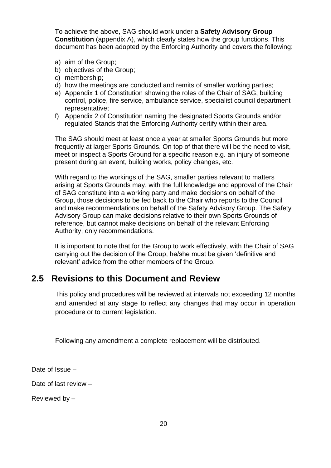To achieve the above, SAG should work under a **Safety Advisory Group Constitution** (appendix A), which clearly states how the group functions. This document has been adopted by the Enforcing Authority and covers the following:

- a) aim of the Group;
- b) objectives of the Group;
- c) membership;
- d) how the meetings are conducted and remits of smaller working parties;
- e) Appendix 1 of Constitution showing the roles of the Chair of SAG, building control, police, fire service, ambulance service, specialist council department representative;
- f) Appendix 2 of Constitution naming the designated Sports Grounds and/or regulated Stands that the Enforcing Authority certify within their area.

The SAG should meet at least once a year at smaller Sports Grounds but more frequently at larger Sports Grounds. On top of that there will be the need to visit, meet or inspect a Sports Ground for a specific reason e.g. an injury of someone present during an event, building works, policy changes, etc.

With regard to the workings of the SAG, smaller parties relevant to matters arising at Sports Grounds may, with the full knowledge and approval of the Chair of SAG constitute into a working party and make decisions on behalf of the Group, those decisions to be fed back to the Chair who reports to the Council and make recommendations on behalf of the Safety Advisory Group. The Safety Advisory Group can make decisions relative to their own Sports Grounds of reference, but cannot make decisions on behalf of the relevant Enforcing Authority, only recommendations.

It is important to note that for the Group to work effectively, with the Chair of SAG carrying out the decision of the Group, he/she must be given 'definitive and relevant' advice from the other members of the Group.

## **2.5 Revisions to this Document and Review**

This policy and procedures will be reviewed at intervals not exceeding 12 months and amended at any stage to reflect any changes that may occur in operation procedure or to current legislation.

Following any amendment a complete replacement will be distributed.

Date of Issue –

Date of last review –

Reviewed by –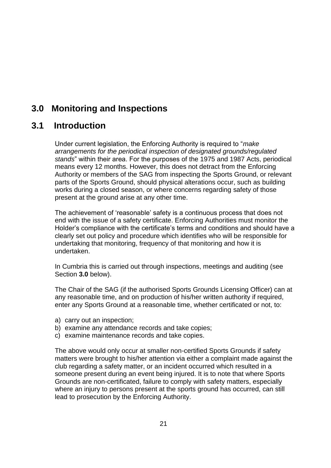# **3.0 Monitoring and Inspections**

# **3.1 Introduction**

Under current legislation, the Enforcing Authority is required to "*make arrangements for the periodical inspection of designated grounds/regulated stands*" within their area. For the purposes of the 1975 and 1987 Acts, periodical means every 12 months. However, this does not detract from the Enforcing Authority or members of the SAG from inspecting the Sports Ground, or relevant parts of the Sports Ground, should physical alterations occur, such as building works during a closed season, or where concerns regarding safety of those present at the ground arise at any other time.

The achievement of 'reasonable' safety is a continuous process that does not end with the issue of a safety certificate. Enforcing Authorities must monitor the Holder's compliance with the certificate's terms and conditions and should have a clearly set out policy and procedure which identifies who will be responsible for undertaking that monitoring, frequency of that monitoring and how it is undertaken.

In Cumbria this is carried out through inspections, meetings and auditing (see Section **3.0** below).

The Chair of the SAG (if the authorised Sports Grounds Licensing Officer) can at any reasonable time, and on production of his/her written authority if required, enter any Sports Ground at a reasonable time, whether certificated or not, to:

- a) carry out an inspection;
- b) examine any attendance records and take copies;
- c) examine maintenance records and take copies.

The above would only occur at smaller non-certified Sports Grounds if safety matters were brought to his/her attention via either a complaint made against the club regarding a safety matter, or an incident occurred which resulted in a someone present during an event being injured. It is to note that where Sports Grounds are non-certificated, failure to comply with safety matters, especially where an injury to persons present at the sports ground has occurred, can still lead to prosecution by the Enforcing Authority.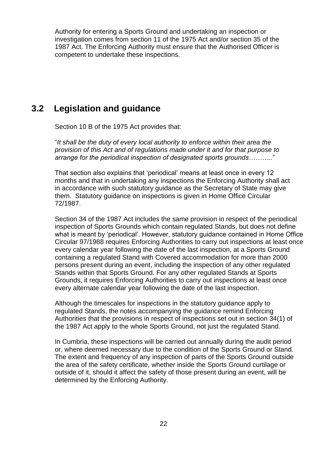Authority for entering a Sports Ground and undertaking an inspection or investigation comes from section 11 of the [1975 Act](http://www.legislation.gov.uk/ukpga/1975/52) and/or section 35 of the 1987 Act. The Enforcing Authority must ensure that the Authorised Officer is competent to undertake these inspections.

## **3.2 Legislation and guidance**

Section 10 B of the 1975 Act provides that:

"*It shall be the duty of every local authority to enforce within their area the provision of this Act and of regulations made under it and for that purpose to arrange for the periodical inspection of designated sports grounds………..*"

That section also explains that 'periodical' means at least once in every 12 months and that in undertaking any inspections the Enforcing Authority shall act in accordance with such statutory guidance as the Secretary of State may give them. Statutory guidance on inspections is given in Home Office Circular 72/1987.

Section 34 of the 1987 Act includes the same provision in respect of the periodical inspection of Sports Grounds which contain regulated Stands, but does not define what is meant by 'periodical'. However, statutory guidance contained in Home Office Circular 97/1988 requires Enforcing Authorities to carry out inspections at least once every calendar year following the date of the last inspection, at a Sports Ground containing a regulated Stand with Covered accommodation for more than 2000 persons present during an event, including the inspection of any other regulated Stands within that Sports Ground. For any other regulated Stands at Sports Grounds, it requires Enforcing Authorities to carry out inspections at least once every alternate calendar year following the date of the last inspection.

Although the timescales for inspections in the statutory guidance apply to regulated Stands, the notes accompanying the guidance remind Enforcing Authorities that the provisions in respect of inspections set out in section 34(1) of the 1987 Act apply to the whole Sports Ground, not just the regulated Stand.

In Cumbria, these inspections will be carried out annually during the audit period or, where deemed necessary due to the condition of the Sports Ground or Stand. The extent and frequency of any inspection of parts of the Sports Ground outside the area of the safety certificate, whether inside the Sports Ground curtilage or outside of it, should it affect the safety of those present during an event, will be determined by the Enforcing Authority.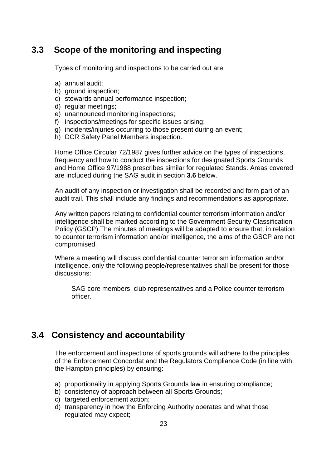# **3.3 Scope of the monitoring and inspecting**

Types of monitoring and inspections to be carried out are:

- a) annual audit;
- b) ground inspection;
- c) stewards annual performance inspection;
- d) regular meetings;
- e) unannounced monitoring inspections;
- f) inspections/meetings for specific issues arising;
- g) incidents/injuries occurring to those present during an event;
- h) DCR Safety Panel Members inspection.

Home Office Circular 72/1987 gives further advice on the types of inspections, frequency and how to conduct the inspections for designated Sports Grounds and Home Office 97/1988 prescribes similar for regulated Stands. Areas covered are included during the SAG audit in section **3.6** below.

An audit of any inspection or investigation shall be recorded and form part of an audit trail. This shall include any findings and recommendations as appropriate.

Any written papers relating to confidential counter terrorism information and/or intelligence shall be marked according to the Government Security Classification Policy (GSCP).The minutes of meetings will be adapted to ensure that, in relation to counter terrorism information and/or intelligence, the aims of the GSCP are not compromised.

Where a meeting will discuss confidential counter terrorism information and/or intelligence, only the following people/representatives shall be present for those discussions:

SAG core members, club representatives and a Police counter terrorism officer.

# **3.4 Consistency and accountability**

The enforcement and inspections of sports grounds will adhere to the principles of the Enforcement Concordat and the Regulators Compliance Code (in line with the Hampton principles) by ensuring:

- a) proportionality in applying Sports Grounds law in ensuring compliance;
- b) consistency of approach between all Sports Grounds;
- c) targeted enforcement action;
- d) transparency in how the Enforcing Authority operates and what those regulated may expect;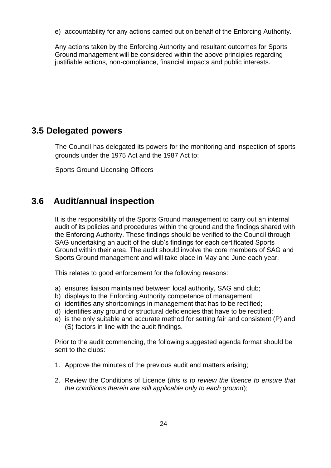e) accountability for any actions carried out on behalf of the Enforcing Authority.

Any actions taken by the Enforcing Authority and resultant outcomes for Sports Ground management will be considered within the above principles regarding justifiable actions, non-compliance, financial impacts and public interests.

## **3.5 Delegated powers**

The Council has delegated its powers for the monitoring and inspection of sports grounds under the 1975 Act and the 1987 Act to:

Sports Ground Licensing Officers

# **3.6 Audit/annual inspection**

It is the responsibility of the Sports Ground management to carry out an internal audit of its policies and procedures within the ground and the findings shared with the Enforcing Authority. These findings should be verified to the Council through SAG undertaking an audit of the club's findings for each certificated Sports Ground within their area. The audit should involve the core members of SAG and Sports Ground management and will take place in May and June each year.

This relates to good enforcement for the following reasons:

- a) ensures liaison maintained between local authority, SAG and club;
- b) displays to the Enforcing Authority competence of management;
- c) identifies any shortcomings in management that has to be rectified;
- d) identifies any ground or structural deficiencies that have to be rectified;
- e) is the only suitable and accurate method for setting fair and consistent (P) and (S) factors in line with the audit findings.

Prior to the audit commencing, the following suggested agenda format should be sent to the clubs:

- 1. Approve the minutes of the previous audit and matters arising;
- 2. Review the Conditions of Licence (*this is to review the licence to ensure that the conditions therein are still applicable only to each ground*);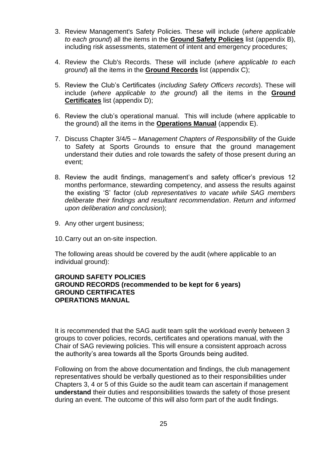- 3. Review Management's Safety Policies. These will include (*where applicable to each ground*) all the items in the **Ground Safety Policies** list (appendix B), including risk assessments, statement of intent and emergency procedures;
- 4. Review the Club's Records. These will include (*where applicable to each ground*) all the items in the **Ground Records** list (appendix C);
- 5. Review the Club's Certificates (*including Safety Officers records*). These will include (*where applicable to the ground*) all the items in the **Ground Certificates** list (appendix D);
- 6. Review the club's operational manual. This will include (where applicable to the ground) all the items in the **Operations Manual** (appendix E).
- 7. Discuss Chapter 3/4/5 *Management Chapters of Responsibility* of the Guide to Safety at Sports Grounds to ensure that the ground management understand their duties and role towards the safety of those present during an event;
- 8. Review the audit findings, management's and safety officer's previous 12 months performance, stewarding competency, and assess the results against the existing 'S' factor (c*lub representatives to vacate while SAG members deliberate their findings and resultant recommendation*. *Return and informed upon deliberation and conclusion*);
- 9. Any other urgent business;
- 10.Carry out an on-site inspection.

The following areas should be covered by the audit (where applicable to an individual ground):

#### **GROUND SAFETY POLICIES GROUND RECORDS (recommended to be kept for 6 years) GROUND CERTIFICATES OPERATIONS MANUAL**

It is recommended that the SAG audit team split the workload evenly between 3 groups to cover policies, records, certificates and operations manual, with the Chair of SAG reviewing policies. This will ensure a consistent approach across the authority's area towards all the Sports Grounds being audited.

Following on from the above documentation and findings, the club management representatives should be verbally questioned as to their responsibilities under Chapters 3, 4 or 5 of this Guide so the audit team can ascertain if management **understand** their duties and responsibilities towards the safety of those present during an event. The outcome of this will also form part of the audit findings.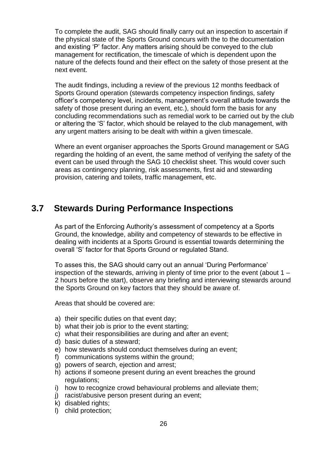To complete the audit, SAG should finally carry out an inspection to ascertain if the physical state of the Sports Ground concurs with the to the documentation and existing 'P' factor. Any matters arising should be conveyed to the club management for rectification, the timescale of which is dependent upon the nature of the defects found and their effect on the safety of those present at the next event.

The audit findings, including a review of the previous 12 months feedback of Sports Ground operation (stewards competency inspection findings, safety officer's competency level, incidents, management's overall attitude towards the safety of those present during an event, etc.), should form the basis for any concluding recommendations such as remedial work to be carried out by the club or altering the 'S' factor, which should be relayed to the club management, with any urgent matters arising to be dealt with within a given timescale.

Where an event organiser approaches the Sports Ground management or SAG regarding the holding of an event, the same method of verifying the safety of the event can be used through the SAG 10 checklist sheet. This would cover such areas as contingency planning, risk assessments, first aid and stewarding provision, catering and toilets, traffic management, etc.

## **3.7 Stewards During Performance Inspections**

As part of the Enforcing Authority's assessment of competency at a Sports Ground, the knowledge, ability and competency of stewards to be effective in dealing with incidents at a Sports Ground is essential towards determining the overall 'S' factor for that Sports Ground or regulated Stand.

To asses this, the SAG should carry out an annual 'During Performance' inspection of the stewards, arriving in plenty of time prior to the event (about 1 – 2 hours before the start), observe any briefing and interviewing stewards around the Sports Ground on key factors that they should be aware of.

Areas that should be covered are:

- a) their specific duties on that event day;
- b) what their job is prior to the event starting;
- c) what their responsibilities are during and after an event;
- d) basic duties of a steward;
- e) how stewards should conduct themselves during an event;
- f) communications systems within the ground;
- g) powers of search, ejection and arrest;
- h) actions if someone present during an event breaches the ground regulations:
- i) how to recognize crowd behavioural problems and alleviate them;
- j) racist/abusive person present during an event;
- k) disabled rights;
- l) child protection;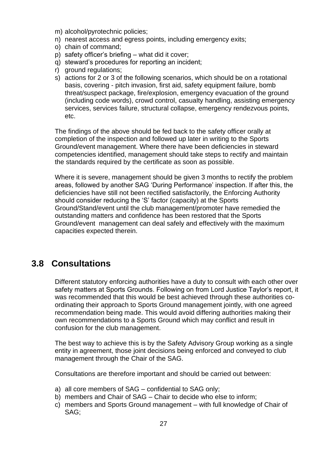- m) alcohol/pyrotechnic policies;
- n) nearest access and egress points, including emergency exits;
- o) chain of command;
- p) safety officer's briefing what did it cover;
- q) steward's procedures for reporting an incident;
- r) ground regulations;
- s) actions for 2 or 3 of the following scenarios, which should be on a rotational basis, covering - pitch invasion, first aid, safety equipment failure, bomb threat/suspect package, fire/explosion, emergency evacuation of the ground (including code words), crowd control, casualty handling, assisting emergency services, services failure, structural collapse, emergency rendezvous points, etc.

The findings of the above should be fed back to the safety officer orally at completion of the inspection and followed up later in writing to the Sports Ground/event management. Where there have been deficiencies in steward competencies identified, management should take steps to rectify and maintain the standards required by the certificate as soon as possible.

Where it is severe, management should be given 3 months to rectify the problem areas, followed by another SAG 'During Performance' inspection. If after this, the deficiencies have still not been rectified satisfactorily, the Enforcing Authority should consider reducing the 'S' factor (capacity) at the Sports Ground/Stand/event until the club management/promoter have remedied the outstanding matters and confidence has been restored that the Sports Ground/event management can deal safely and effectively with the maximum capacities expected therein.

### **3.8 Consultations**

Different statutory enforcing authorities have a duty to consult with each other over safety matters at Sports Grounds. Following on from Lord Justice Taylor's report, it was recommended that this would be best achieved through these authorities coordinating their approach to Sports Ground management jointly, with one agreed recommendation being made. This would avoid differing authorities making their own recommendations to a Sports Ground which may conflict and result in confusion for the club management.

The best way to achieve this is by the Safety Advisory Group working as a single entity in agreement, those joint decisions being enforced and conveyed to club management through the Chair of the SAG.

Consultations are therefore important and should be carried out between:

- a) all core members of SAG confidential to SAG only;
- b) members and Chair of SAG Chair to decide who else to inform;
- c) members and Sports Ground management with full knowledge of Chair of SAG;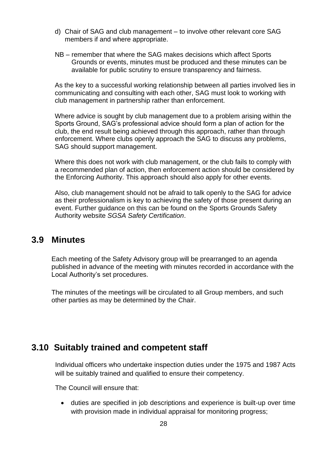- d) Chair of SAG and club management to involve other relevant core SAG members if and where appropriate.
- NB remember that where the SAG makes decisions which affect Sports Grounds or events, minutes must be produced and these minutes can be available for public scrutiny to ensure transparency and fairness.

As the key to a successful working relationship between all parties involved lies in communicating and consulting with each other, SAG must look to working with club management in partnership rather than enforcement.

Where advice is sought by club management due to a problem arising within the Sports Ground, SAG's professional advice should form a plan of action for the club, the end result being achieved through this approach, rather than through enforcement. Where clubs openly approach the SAG to discuss any problems, SAG should support management.

Where this does not work with club management, or the club fails to comply with a recommended plan of action, then enforcement action should be considered by the Enforcing Authority. This approach should also apply for other events.

Also, club management should not be afraid to talk openly to the SAG for advice as their professionalism is key to achieving the safety of those present during an event. Further guidance on this can be found on the Sports Grounds Safety Authority website *SGSA Safety Certification*.

#### **3.9 Minutes**

Each meeting of the Safety Advisory group will be prearranged to an agenda published in advance of the meeting with minutes recorded in accordance with the Local Authority's set procedures.

The minutes of the meetings will be circulated to all Group members, and such other parties as may be determined by the Chair.

## **3.10 Suitably trained and competent staff**

Individual officers who undertake inspection duties under the 1975 and 1987 Acts will be suitably trained and qualified to ensure their competency.

The Council will ensure that:

• duties are specified in job descriptions and experience is built-up over time with provision made in individual appraisal for monitoring progress;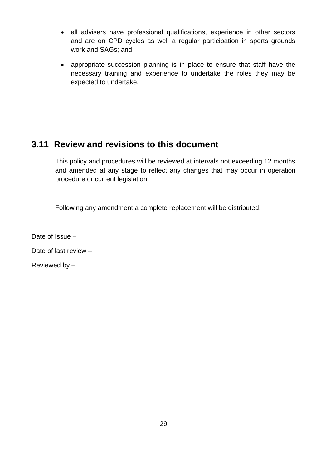- all advisers have professional qualifications, experience in other sectors and are on CPD cycles as well a regular participation in sports grounds work and SAGs; and
- appropriate succession planning is in place to ensure that staff have the necessary training and experience to undertake the roles they may be expected to undertake.

# **3.11 Review and revisions to this document**

This policy and procedures will be reviewed at intervals not exceeding 12 months and amended at any stage to reflect any changes that may occur in operation procedure or current legislation.

Following any amendment a complete replacement will be distributed.

Date of Issue –

Date of last review –

Reviewed by –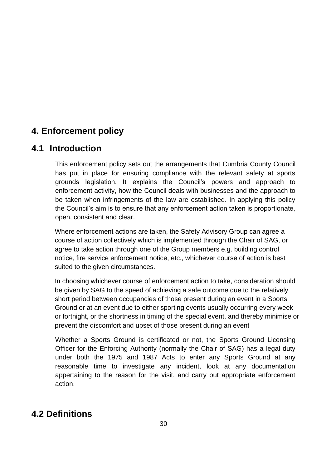# **4. Enforcement policy**

# **4.1 Introduction**

This enforcement policy sets out the arrangements that Cumbria County Council has put in place for ensuring compliance with the relevant safety at sports grounds legislation. It explains the Council's powers and approach to enforcement activity, how the Council deals with businesses and the approach to be taken when infringements of the law are established. In applying this policy the Council's aim is to ensure that any enforcement action taken is proportionate, open, consistent and clear.

Where enforcement actions are taken, the Safety Advisory Group can agree a course of action collectively which is implemented through the Chair of SAG, or agree to take action through one of the Group members e.g. building control notice, fire service enforcement notice, etc., whichever course of action is best suited to the given circumstances.

In choosing whichever course of enforcement action to take, consideration should be given by SAG to the speed of achieving a safe outcome due to the relatively short period between occupancies of those present during an event in a Sports Ground or at an event due to either sporting events usually occurring every week or fortnight, or the shortness in timing of the special event, and thereby minimise or prevent the discomfort and upset of those present during an event

Whether a Sports Ground is certificated or not, the Sports Ground Licensing Officer for the Enforcing Authority (normally the Chair of SAG) has a legal duty under both the 1975 and 1987 Acts to enter any Sports Ground at any reasonable time to investigate any incident, look at any documentation appertaining to the reason for the visit, and carry out appropriate enforcement action.

# **4.2 Definitions**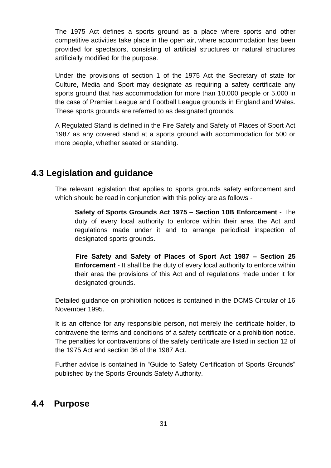The 1975 Act defines a sports ground as a place where sports and other competitive activities take place in the open air, where accommodation has been provided for spectators, consisting of artificial structures or natural structures artificially modified for the purpose.

Under the provisions of section 1 of the 1975 Act the Secretary of state for Culture, Media and Sport may designate as requiring a safety certificate any sports ground that has accommodation for more than 10,000 people or 5,000 in the case of Premier League and Football League grounds in England and Wales. These sports grounds are referred to as designated grounds.

A Regulated Stand is defined in the Fire Safety and Safety of Places of Sport Act 1987 as any covered stand at a sports ground with accommodation for 500 or more people, whether seated or standing.

# **4.3 Legislation and guidance**

The relevant legislation that applies to sports grounds safety enforcement and which should be read in conjunction with this policy are as follows -

**Safety of Sports Grounds Act 1975 – Section 10B Enforcement** - The duty of every local authority to enforce within their area the Act and regulations made under it and to arrange periodical inspection of designated sports grounds.

**Fire Safety and Safety of Places of Sport Act 1987 – Section 25 Enforcement** - It shall be the duty of every local authority to enforce within their area the provisions of this Act and of regulations made under it for designated grounds.

Detailed guidance on prohibition notices is contained in the DCMS Circular of 16 November 1995.

It is an offence for any responsible person, not merely the certificate holder, to contravene the terms and conditions of a safety certificate or a prohibition notice. The penalties for contraventions of the safety certificate are listed in section 12 of the 1975 Act and section 36 of the 1987 Act.

Further advice is contained in "Guide to Safety Certification of Sports Grounds" published by the Sports Grounds Safety Authority.

## **4.4 Purpose**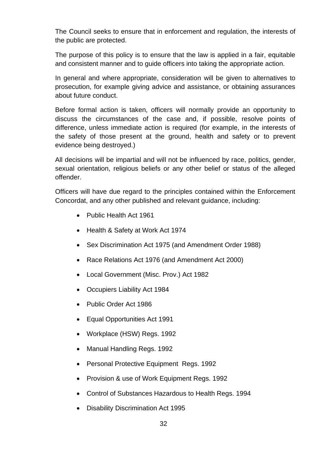The Council seeks to ensure that in enforcement and regulation, the interests of the public are protected.

The purpose of this policy is to ensure that the law is applied in a fair, equitable and consistent manner and to guide officers into taking the appropriate action.

In general and where appropriate, consideration will be given to alternatives to prosecution, for example giving advice and assistance, or obtaining assurances about future conduct.

Before formal action is taken, officers will normally provide an opportunity to discuss the circumstances of the case and, if possible, resolve points of difference, unless immediate action is required (for example, in the interests of the safety of those present at the ground, health and safety or to prevent evidence being destroyed.)

All decisions will be impartial and will not be influenced by race, politics, gender, sexual orientation, religious beliefs or any other belief or status of the alleged offender.

Officers will have due regard to the principles contained within the Enforcement Concordat, and any other published and relevant guidance, including:

- Public Health Act 1961
- Health & Safety at Work Act 1974
- Sex Discrimination Act 1975 (and Amendment Order 1988)
- Race Relations Act 1976 (and Amendment Act 2000)
- Local Government (Misc. Prov.) Act 1982
- Occupiers Liability Act 1984
- Public Order Act 1986
- Equal Opportunities Act 1991
- Workplace (HSW) Regs. 1992
- Manual Handling Regs. 1992
- Personal Protective Equipment Regs. 1992
- Provision & use of Work Equipment Regs. 1992
- Control of Substances Hazardous to Health Regs. 1994
- Disability Discrimination Act 1995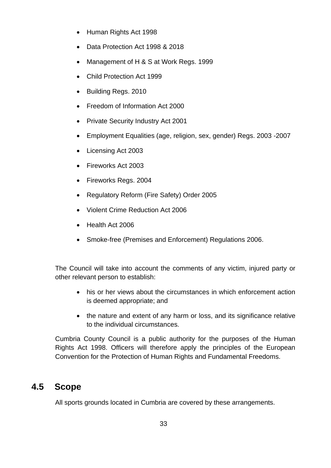- Human Rights Act 1998
- Data Protection Act 1998 & 2018
- Management of H & S at Work Regs. 1999
- Child Protection Act 1999
- Building Regs. 2010
- Freedom of Information Act 2000
- Private Security Industry Act 2001
- Employment Equalities (age, religion, sex, gender) Regs. 2003 -2007
- Licensing Act 2003
- Fireworks Act 2003
- Fireworks Reas, 2004
- Regulatory Reform (Fire Safety) Order 2005
- Violent Crime Reduction Act 2006
- Health Act 2006
- Smoke-free (Premises and Enforcement) Regulations 2006.

The Council will take into account the comments of any victim, injured party or other relevant person to establish:

- his or her views about the circumstances in which enforcement action is deemed appropriate; and
- the nature and extent of any harm or loss, and its significance relative to the individual circumstances.

Cumbria County Council is a public authority for the purposes of the Human Rights Act 1998. Officers will therefore apply the principles of the European Convention for the Protection of Human Rights and Fundamental Freedoms.

## **4.5 Scope**

All sports grounds located in Cumbria are covered by these arrangements.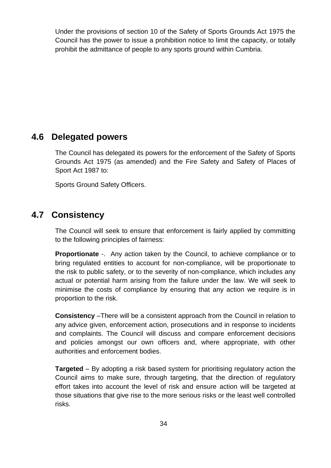Under the provisions of section 10 of the Safety of Sports Grounds Act 1975 the Council has the power to issue a prohibition notice to limit the capacity, or totally prohibit the admittance of people to any sports ground within Cumbria.

## **4.6 Delegated powers**

The Council has delegated its powers for the enforcement of the Safety of Sports Grounds Act 1975 (as amended) and the Fire Safety and Safety of Places of Sport Act 1987 to:

Sports Ground Safety Officers.

# **4.7 Consistency**

The Council will seek to ensure that enforcement is fairly applied by committing to the following principles of fairness:

**Proportionate** -. Any action taken by the Council, to achieve compliance or to bring regulated entities to account for non-compliance, will be proportionate to the risk to public safety, or to the severity of non-compliance, which includes any actual or potential harm arising from the failure under the law. We will seek to minimise the costs of compliance by ensuring that any action we require is in proportion to the risk.

**Consistency** –There will be a consistent approach from the Council in relation to any advice given, enforcement action, prosecutions and in response to incidents and complaints. The Council will discuss and compare enforcement decisions and policies amongst our own officers and, where appropriate, with other authorities and enforcement bodies.

**Targeted** – By adopting a risk based system for prioritising regulatory action the Council aims to make sure, through targeting, that the direction of regulatory effort takes into account the level of risk and ensure action will be targeted at those situations that give rise to the more serious risks or the least well controlled risks.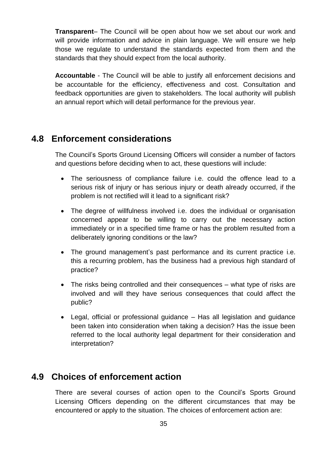**Transparent**– The Council will be open about how we set about our work and will provide information and advice in plain language. We will ensure we help those we regulate to understand the standards expected from them and the standards that they should expect from the local authority.

**Accountable** - The Council will be able to justify all enforcement decisions and be accountable for the efficiency, effectiveness and cost. Consultation and feedback opportunities are given to stakeholders. The local authority will publish an annual report which will detail performance for the previous year.

#### **4.8 Enforcement considerations**

The Council's Sports Ground Licensing Officers will consider a number of factors and questions before deciding when to act, these questions will include:

- The seriousness of compliance failure i.e. could the offence lead to a serious risk of injury or has serious injury or death already occurred, if the problem is not rectified will it lead to a significant risk?
- The degree of willfulness involved i.e. does the individual or organisation concerned appear to be willing to carry out the necessary action immediately or in a specified time frame or has the problem resulted from a deliberately ignoring conditions or the law?
- The ground management's past performance and its current practice i.e. this a recurring problem, has the business had a previous high standard of practice?
- The risks being controlled and their consequences what type of risks are involved and will they have serious consequences that could affect the public?
- Legal, official or professional guidance Has all legislation and guidance been taken into consideration when taking a decision? Has the issue been referred to the local authority legal department for their consideration and interpretation?

## **4.9 Choices of enforcement action**

There are several courses of action open to the Council's Sports Ground Licensing Officers depending on the different circumstances that may be encountered or apply to the situation. The choices of enforcement action are: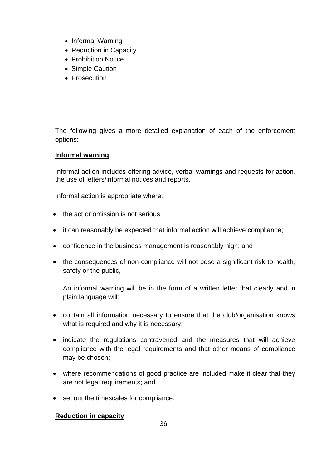- Informal Warning
- Reduction in Capacity
- Prohibition Notice
- Simple Caution
- Prosecution

The following gives a more detailed explanation of each of the enforcement options:

#### **Informal warning**

Informal action includes offering advice, verbal warnings and requests for action, the use of letters/informal notices and reports.

Informal action is appropriate where:

- the act or omission is not serious;
- it can reasonably be expected that informal action will achieve compliance;
- confidence in the business management is reasonably high; and
- the consequences of non-compliance will not pose a significant risk to health, safety or the public,

An informal warning will be in the form of a written letter that clearly and in plain language will:

- contain all information necessary to ensure that the club/organisation knows what is required and why it is necessary;
- indicate the regulations contravened and the measures that will achieve compliance with the legal requirements and that other means of compliance may be chosen;
- where recommendations of good practice are included make it clear that they are not legal requirements; and
- set out the timescales for compliance.

#### **Reduction in capacity**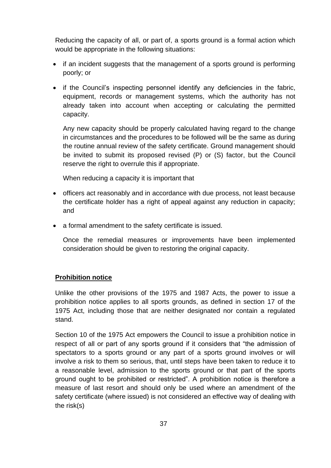Reducing the capacity of all, or part of, a sports ground is a formal action which would be appropriate in the following situations:

- if an incident suggests that the management of a sports ground is performing poorly; or
- if the Council's inspecting personnel identify any deficiencies in the fabric, equipment, records or management systems, which the authority has not already taken into account when accepting or calculating the permitted capacity.

Any new capacity should be properly calculated having regard to the change in circumstances and the procedures to be followed will be the same as during the routine annual review of the safety certificate. Ground management should be invited to submit its proposed revised (P) or (S) factor, but the Council reserve the right to overrule this if appropriate.

When reducing a capacity it is important that

- officers act reasonably and in accordance with due process, not least because the certificate holder has a right of appeal against any reduction in capacity; and
- a formal amendment to the safety certificate is issued.

Once the remedial measures or improvements have been implemented consideration should be given to restoring the original capacity.

#### **Prohibition notice**

Unlike the other provisions of the 1975 and 1987 Acts, the power to issue a prohibition notice applies to all sports grounds, as defined in section 17 of the 1975 Act, including those that are neither designated nor contain a regulated stand.

Section 10 of the 1975 Act empowers the Council to issue a prohibition notice in respect of all or part of any sports ground if it considers that "the admission of spectators to a sports ground or any part of a sports ground involves or will involve a risk to them so serious, that, until steps have been taken to reduce it to a reasonable level, admission to the sports ground or that part of the sports ground ought to be prohibited or restricted". A prohibition notice is therefore a measure of last resort and should only be used where an amendment of the safety certificate (where issued) is not considered an effective way of dealing with the risk(s)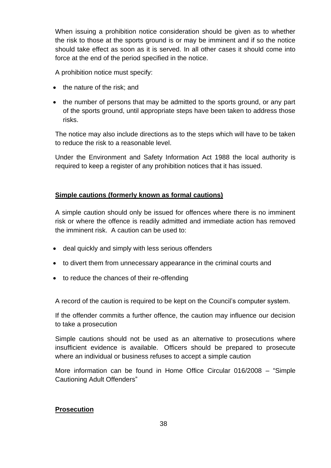When issuing a prohibition notice consideration should be given as to whether the risk to those at the sports ground is or may be imminent and if so the notice should take effect as soon as it is served. In all other cases it should come into force at the end of the period specified in the notice.

A prohibition notice must specify:

- the nature of the risk; and
- the number of persons that may be admitted to the sports ground, or any part of the sports ground, until appropriate steps have been taken to address those risks.

The notice may also include directions as to the steps which will have to be taken to reduce the risk to a reasonable level.

Under the Environment and Safety Information Act 1988 the local authority is required to keep a register of any prohibition notices that it has issued.

#### **Simple cautions (formerly known as formal cautions)**

A simple caution should only be issued for offences where there is no imminent risk or where the offence is readily admitted and immediate action has removed the imminent risk. A caution can be used to:

- deal quickly and simply with less serious offenders
- to divert them from unnecessary appearance in the criminal courts and
- to reduce the chances of their re-offending

A record of the caution is required to be kept on the Council's computer system.

If the offender commits a further offence, the caution may influence our decision to take a prosecution

Simple cautions should not be used as an alternative to prosecutions where insufficient evidence is available. Officers should be prepared to prosecute where an individual or business refuses to accept a simple caution

More information can be found in Home Office Circular 016/2008 – "Simple Cautioning Adult Offenders"

#### **Prosecution**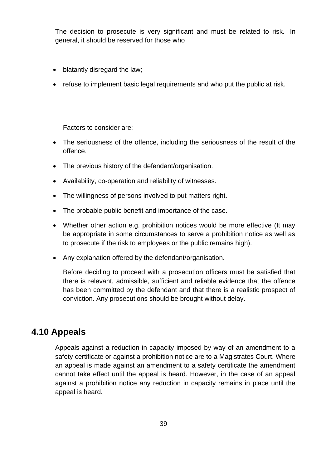The decision to prosecute is very significant and must be related to risk. In general, it should be reserved for those who

- blatantly disregard the law;
- refuse to implement basic legal requirements and who put the public at risk.

Factors to consider are:

- The seriousness of the offence, including the seriousness of the result of the offence.
- The previous history of the defendant/organisation.
- Availability, co-operation and reliability of witnesses.
- The willingness of persons involved to put matters right.
- The probable public benefit and importance of the case.
- Whether other action e.g. prohibition notices would be more effective (It may be appropriate in some circumstances to serve a prohibition notice as well as to prosecute if the risk to employees or the public remains high).
- Any explanation offered by the defendant/organisation.

Before deciding to proceed with a prosecution officers must be satisfied that there is relevant, admissible, sufficient and reliable evidence that the offence has been committed by the defendant and that there is a realistic prospect of conviction. Any prosecutions should be brought without delay.

## **4.10 Appeals**

Appeals against a reduction in capacity imposed by way of an amendment to a safety certificate or against a prohibition notice are to a Magistrates Court. Where an appeal is made against an amendment to a safety certificate the amendment cannot take effect until the appeal is heard. However, in the case of an appeal against a prohibition notice any reduction in capacity remains in place until the appeal is heard.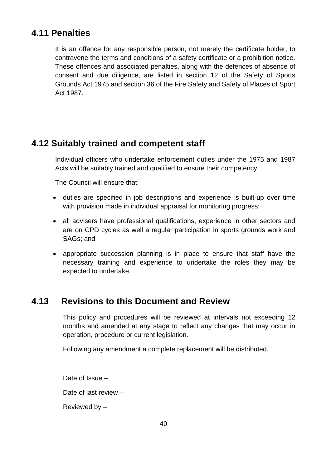# **4.11 Penalties**

It is an offence for any responsible person, not merely the certificate holder, to contravene the terms and conditions of a safety certificate or a prohibition notice. These offences and associated penalties, along with the defences of absence of consent and due diligence, are listed in section 12 of the Safety of Sports Grounds Act 1975 and section 36 of the Fire Safety and Safety of Places of Sport Act 1987.

# **4.12 Suitably trained and competent staff**

Individual officers who undertake enforcement duties under the 1975 and 1987 Acts will be suitably trained and qualified to ensure their competency.

The Council will ensure that:

- duties are specified in job descriptions and experience is built-up over time with provision made in individual appraisal for monitoring progress;
- all advisers have professional qualifications, experience in other sectors and are on CPD cycles as well a regular participation in sports grounds work and SAGs; and
- appropriate succession planning is in place to ensure that staff have the necessary training and experience to undertake the roles they may be expected to undertake.

# **4.13 Revisions to this Document and Review**

This policy and procedures will be reviewed at intervals not exceeding 12 months and amended at any stage to reflect any changes that may occur in operation, procedure or current legislation.

Following any amendment a complete replacement will be distributed.

Date of Issue – Date of last review –

Reviewed by –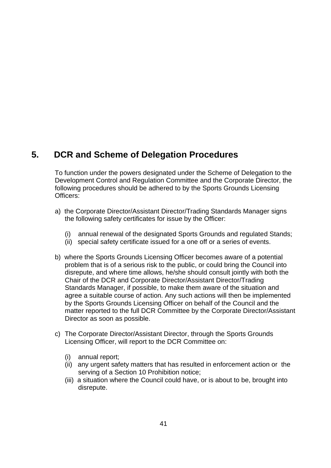# **5. DCR and Scheme of Delegation Procedures**

To function under the powers designated under the Scheme of Delegation to the Development Control and Regulation Committee and the Corporate Director, the following procedures should be adhered to by the Sports Grounds Licensing Officers:

- a) the Corporate Director/Assistant Director/Trading Standards Manager signs the following safety certificates for issue by the Officer:
	- (i) annual renewal of the designated Sports Grounds and regulated Stands;
	- (ii) special safety certificate issued for a one off or a series of events.
- b) where the Sports Grounds Licensing Officer becomes aware of a potential problem that is of a serious risk to the public, or could bring the Council into disrepute, and where time allows, he/she should consult jointly with both the Chair of the DCR and Corporate Director/Assistant Director/Trading Standards Manager, if possible, to make them aware of the situation and agree a suitable course of action. Any such actions will then be implemented by the Sports Grounds Licensing Officer on behalf of the Council and the matter reported to the full DCR Committee by the Corporate Director/Assistant Director as soon as possible.
- c) The Corporate Director/Assistant Director, through the Sports Grounds Licensing Officer, will report to the DCR Committee on:
	- (i) annual report;
	- (ii) any urgent safety matters that has resulted in enforcement action or the serving of a Section 10 Prohibition notice;
	- (iii) a situation where the Council could have, or is about to be, brought into disrepute.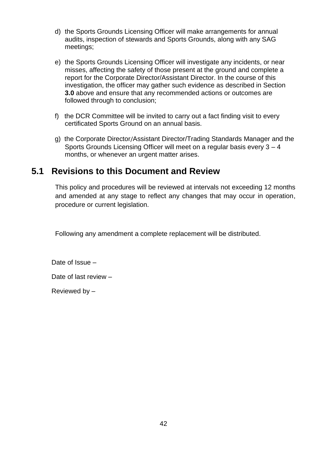- d) the Sports Grounds Licensing Officer will make arrangements for annual audits, inspection of stewards and Sports Grounds, along with any SAG meetings;
- e) the Sports Grounds Licensing Officer will investigate any incidents, or near misses, affecting the safety of those present at the ground and complete a report for the Corporate Director/Assistant Director. In the course of this investigation, the officer may gather such evidence as described in Section **3.0** above and ensure that any recommended actions or outcomes are followed through to conclusion;
- f) the DCR Committee will be invited to carry out a fact finding visit to every certificated Sports Ground on an annual basis.
- g) the Corporate Director/Assistant Director/Trading Standards Manager and the Sports Grounds Licensing Officer will meet on a regular basis every 3 – 4 months, or whenever an urgent matter arises.

# **5.1 Revisions to this Document and Review**

This policy and procedures will be reviewed at intervals not exceeding 12 months and amended at any stage to reflect any changes that may occur in operation, procedure or current legislation.

Following any amendment a complete replacement will be distributed.

Date of Issue –

Date of last review –

Reviewed by –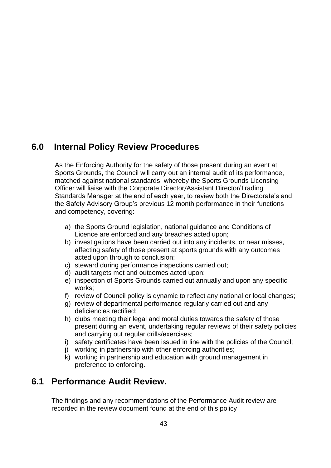# **6.0 Internal Policy Review Procedures**

As the Enforcing Authority for the safety of those present during an event at Sports Grounds, the Council will carry out an internal audit of its performance, matched against national standards, whereby the Sports Grounds Licensing Officer will liaise with the Corporate Director/Assistant Director/Trading Standards Manager at the end of each year, to review both the Directorate's and the Safety Advisory Group's previous 12 month performance in their functions and competency, covering:

- a) the Sports Ground legislation, national guidance and Conditions of Licence are enforced and any breaches acted upon;
- b) investigations have been carried out into any incidents, or near misses, affecting safety of those present at sports grounds with any outcomes acted upon through to conclusion;
- c) steward during performance inspections carried out;
- d) audit targets met and outcomes acted upon;
- e) inspection of Sports Grounds carried out annually and upon any specific works;
- f) review of Council policy is dynamic to reflect any national or local changes;
- g) review of departmental performance regularly carried out and any deficiencies rectified;
- h) clubs meeting their legal and moral duties towards the safety of those present during an event, undertaking regular reviews of their safety policies and carrying out regular drills/exercises;
- i) safety certificates have been issued in line with the policies of the Council;
- j) working in partnership with other enforcing authorities;
- k) working in partnership and education with ground management in preference to enforcing.

# **6.1 Performance Audit Review.**

The findings and any recommendations of the Performance Audit review are recorded in the review document found at the end of this policy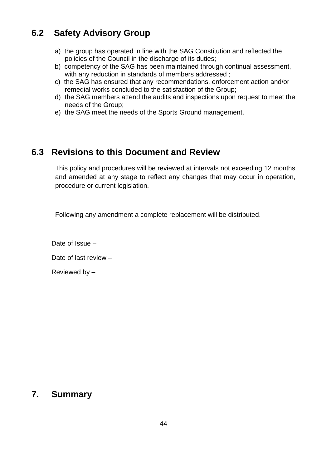# **6.2 Safety Advisory Group**

- a) the group has operated in line with the SAG Constitution and reflected the policies of the Council in the discharge of its duties;
- b) competency of the SAG has been maintained through continual assessment, with any reduction in standards of members addressed ;
- c) the SAG has ensured that any recommendations, enforcement action and/or remedial works concluded to the satisfaction of the Group;
- d) the SAG members attend the audits and inspections upon request to meet the needs of the Group;
- e) the SAG meet the needs of the Sports Ground management.

## **6.3 Revisions to this Document and Review**

This policy and procedures will be reviewed at intervals not exceeding 12 months and amended at any stage to reflect any changes that may occur in operation, procedure or current legislation.

Following any amendment a complete replacement will be distributed.

Date of Issue – Date of last review – Reviewed by –

## **7. Summary**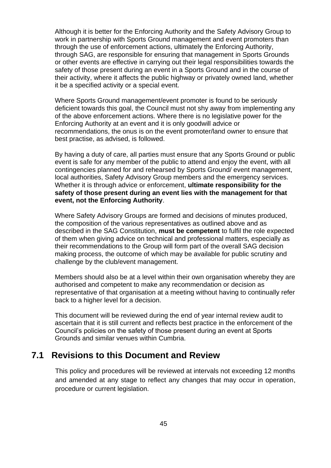Although it is better for the Enforcing Authority and the Safety Advisory Group to work in partnership with Sports Ground management and event promoters than through the use of enforcement actions, ultimately the Enforcing Authority, through SAG, are responsible for ensuring that management in Sports Grounds or other events are effective in carrying out their legal responsibilities towards the safety of those present during an event in a Sports Ground and in the course of their activity, where it affects the public highway or privately owned land, whether it be a specified activity or a special event.

Where Sports Ground management/event promoter is found to be seriously deficient towards this goal, the Council must not shy away from implementing any of the above enforcement actions. Where there is no legislative power for the Enforcing Authority at an event and it is only goodwill advice or recommendations, the onus is on the event promoter/land owner to ensure that best practise, as advised, is followed.

By having a duty of care, all parties must ensure that any Sports Ground or public event is safe for any member of the public to attend and enjoy the event, with all contingencies planned for and rehearsed by Sports Ground/ event management, local authorities, Safety Advisory Group members and the emergency services. Whether it is through advice or enforcement, **ultimate responsibility for the safety of those present during an event lies with the management for that event, not the Enforcing Authority**.

Where Safety Advisory Groups are formed and decisions of minutes produced, the composition of the various representatives as outlined above and as described in the SAG Constitution, **must be competent** to fulfil the role expected of them when giving advice on technical and professional matters, especially as their recommendations to the Group will form part of the overall SAG decision making process, the outcome of which may be available for public scrutiny and challenge by the club/event management.

Members should also be at a level within their own organisation whereby they are authorised and competent to make any recommendation or decision as representative of that organisation at a meeting without having to continually refer back to a higher level for a decision.

This document will be reviewed during the end of year internal review audit to ascertain that it is still current and reflects best practice in the enforcement of the Council's policies on the safety of those present during an event at Sports Grounds and similar venues within Cumbria.

#### **7.1 Revisions to this Document and Review**

This policy and procedures will be reviewed at intervals not exceeding 12 months and amended at any stage to reflect any changes that may occur in operation, procedure or current legislation.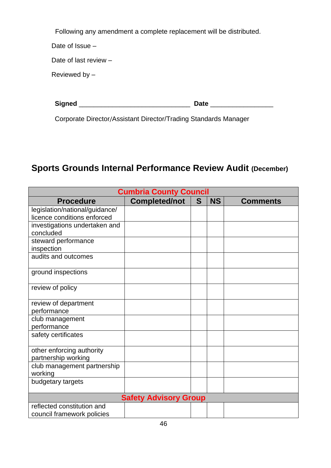Following any amendment a complete replacement will be distributed.

Date of Issue –

Date of last review –

Reviewed by –

| <b>Signed</b> | 1.LA |
|---------------|------|
|               |      |

Corporate Director/Assistant Director/Trading Standards Manager

# **Sports Grounds Internal Performance Review Audit (December)**

| <b>Cumbria County Council</b>  |                      |   |           |                 |
|--------------------------------|----------------------|---|-----------|-----------------|
| <b>Procedure</b>               | <b>Completed/not</b> | S | <b>NS</b> | <b>Comments</b> |
| legislation/national/guidance/ |                      |   |           |                 |
| licence conditions enforced    |                      |   |           |                 |
| investigations undertaken and  |                      |   |           |                 |
| concluded                      |                      |   |           |                 |
| steward performance            |                      |   |           |                 |
| inspection                     |                      |   |           |                 |
| audits and outcomes            |                      |   |           |                 |
| ground inspections             |                      |   |           |                 |
| review of policy               |                      |   |           |                 |
| review of department           |                      |   |           |                 |
| performance                    |                      |   |           |                 |
| club management                |                      |   |           |                 |
| performance                    |                      |   |           |                 |
| safety certificates            |                      |   |           |                 |
| other enforcing authority      |                      |   |           |                 |
| partnership working            |                      |   |           |                 |
| club management partnership    |                      |   |           |                 |
| working                        |                      |   |           |                 |
| budgetary targets              |                      |   |           |                 |
| <b>Safety Advisory Group</b>   |                      |   |           |                 |
| reflected constitution and     |                      |   |           |                 |
| council framework policies     |                      |   |           |                 |